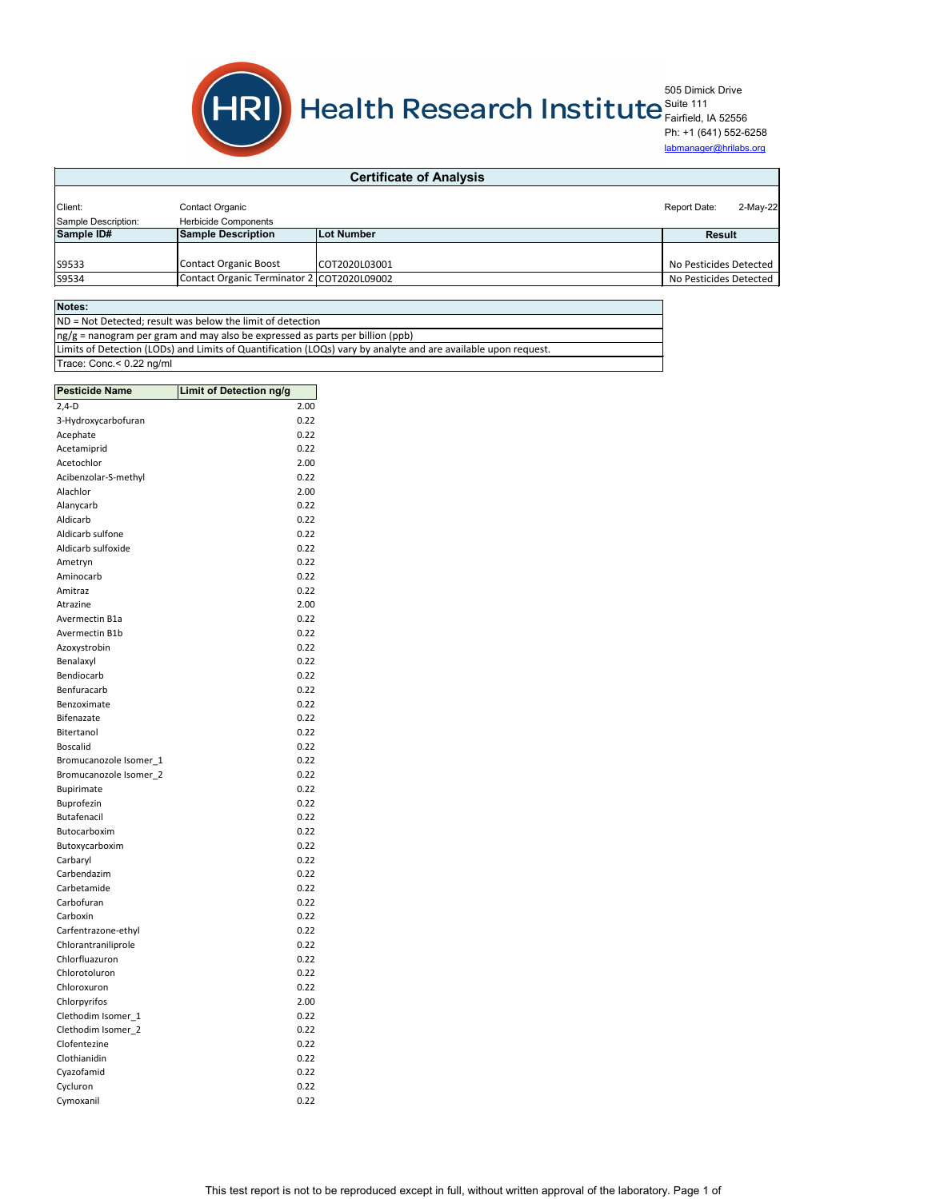| 2.00<br>$2,4-D$<br>3-Hydroxycarbofuran<br>0.22<br>Acephate<br>0.22<br>Acetamiprid<br>0.22<br>Acetochlor<br>2.00<br>Acibenzolar-S-methyl<br>0.22<br>Alachlor<br>2.00<br>Alanycarb<br>0.22<br>Aldicarb<br>0.22<br>Aldicarb sulfone<br>0.22<br>Aldicarb sulfoxide<br>0.22<br>0.22<br>Ametryn<br>Aminocarb<br>0.22<br>Amitraz<br>0.22<br>Atrazine<br>2.00<br>Avermectin B1a<br>0.22<br>Avermectin B1b<br>0.22<br>0.22<br>Azoxystrobin<br>Benalaxyl<br>0.22<br>Bendiocarb<br>0.22<br>Benfuracarb<br>0.22<br>Benzoximate<br>0.22<br><b>Bifenazate</b><br>0.22<br>Bitertanol<br>0.22<br><b>Boscalid</b><br>0.22<br>0.22<br>Bromucanozole Isomer_1<br>Bromucanozole Isomer_2<br>0.22<br>0.22<br><b>Bupirimate</b><br>Buprofezin<br>0.22<br><b>Butafenacil</b><br>0.22<br>Butocarboxim<br>0.22<br>Butoxycarboxim<br>0.22<br>Carbaryl<br>0.22<br>Carbendazim<br>0.22<br>Carbetamide<br>0.22<br>Carbofuran<br>0.22<br>Carboxin<br>0.22<br>Carfentrazone-ethyl<br>0.22<br>Chlorantraniliprole<br>0.22<br>Chlorfluazuron<br>0.22<br>Chlorotoluron<br>0.22<br>Chloroxuron<br>0.22<br>Chlorpyrifos<br>2.00<br>Clethodim Isomer_1<br>0.22<br>Clethodim Isomer_2<br>0.22<br>Clofentezine<br>0.22<br>Clothianidin<br>0.22<br>Cyazofamid<br>0.22<br>Cycluron<br>0.22 | <b>Pesticide Name</b> | <b>Limit of Detection ng/g</b> |      |
|---------------------------------------------------------------------------------------------------------------------------------------------------------------------------------------------------------------------------------------------------------------------------------------------------------------------------------------------------------------------------------------------------------------------------------------------------------------------------------------------------------------------------------------------------------------------------------------------------------------------------------------------------------------------------------------------------------------------------------------------------------------------------------------------------------------------------------------------------------------------------------------------------------------------------------------------------------------------------------------------------------------------------------------------------------------------------------------------------------------------------------------------------------------------------------------------------------------------------------------------------|-----------------------|--------------------------------|------|
|                                                                                                                                                                                                                                                                                                                                                                                                                                                                                                                                                                                                                                                                                                                                                                                                                                                                                                                                                                                                                                                                                                                                                                                                                                                   |                       |                                |      |
|                                                                                                                                                                                                                                                                                                                                                                                                                                                                                                                                                                                                                                                                                                                                                                                                                                                                                                                                                                                                                                                                                                                                                                                                                                                   |                       |                                |      |
|                                                                                                                                                                                                                                                                                                                                                                                                                                                                                                                                                                                                                                                                                                                                                                                                                                                                                                                                                                                                                                                                                                                                                                                                                                                   |                       |                                |      |
|                                                                                                                                                                                                                                                                                                                                                                                                                                                                                                                                                                                                                                                                                                                                                                                                                                                                                                                                                                                                                                                                                                                                                                                                                                                   |                       |                                |      |
|                                                                                                                                                                                                                                                                                                                                                                                                                                                                                                                                                                                                                                                                                                                                                                                                                                                                                                                                                                                                                                                                                                                                                                                                                                                   |                       |                                |      |
|                                                                                                                                                                                                                                                                                                                                                                                                                                                                                                                                                                                                                                                                                                                                                                                                                                                                                                                                                                                                                                                                                                                                                                                                                                                   |                       |                                |      |
|                                                                                                                                                                                                                                                                                                                                                                                                                                                                                                                                                                                                                                                                                                                                                                                                                                                                                                                                                                                                                                                                                                                                                                                                                                                   |                       |                                |      |
|                                                                                                                                                                                                                                                                                                                                                                                                                                                                                                                                                                                                                                                                                                                                                                                                                                                                                                                                                                                                                                                                                                                                                                                                                                                   |                       |                                |      |
|                                                                                                                                                                                                                                                                                                                                                                                                                                                                                                                                                                                                                                                                                                                                                                                                                                                                                                                                                                                                                                                                                                                                                                                                                                                   |                       |                                |      |
|                                                                                                                                                                                                                                                                                                                                                                                                                                                                                                                                                                                                                                                                                                                                                                                                                                                                                                                                                                                                                                                                                                                                                                                                                                                   |                       |                                |      |
|                                                                                                                                                                                                                                                                                                                                                                                                                                                                                                                                                                                                                                                                                                                                                                                                                                                                                                                                                                                                                                                                                                                                                                                                                                                   |                       |                                |      |
|                                                                                                                                                                                                                                                                                                                                                                                                                                                                                                                                                                                                                                                                                                                                                                                                                                                                                                                                                                                                                                                                                                                                                                                                                                                   |                       |                                |      |
|                                                                                                                                                                                                                                                                                                                                                                                                                                                                                                                                                                                                                                                                                                                                                                                                                                                                                                                                                                                                                                                                                                                                                                                                                                                   |                       |                                |      |
|                                                                                                                                                                                                                                                                                                                                                                                                                                                                                                                                                                                                                                                                                                                                                                                                                                                                                                                                                                                                                                                                                                                                                                                                                                                   |                       |                                |      |
|                                                                                                                                                                                                                                                                                                                                                                                                                                                                                                                                                                                                                                                                                                                                                                                                                                                                                                                                                                                                                                                                                                                                                                                                                                                   |                       |                                |      |
|                                                                                                                                                                                                                                                                                                                                                                                                                                                                                                                                                                                                                                                                                                                                                                                                                                                                                                                                                                                                                                                                                                                                                                                                                                                   |                       |                                |      |
|                                                                                                                                                                                                                                                                                                                                                                                                                                                                                                                                                                                                                                                                                                                                                                                                                                                                                                                                                                                                                                                                                                                                                                                                                                                   |                       |                                |      |
|                                                                                                                                                                                                                                                                                                                                                                                                                                                                                                                                                                                                                                                                                                                                                                                                                                                                                                                                                                                                                                                                                                                                                                                                                                                   |                       |                                |      |
|                                                                                                                                                                                                                                                                                                                                                                                                                                                                                                                                                                                                                                                                                                                                                                                                                                                                                                                                                                                                                                                                                                                                                                                                                                                   |                       |                                |      |
|                                                                                                                                                                                                                                                                                                                                                                                                                                                                                                                                                                                                                                                                                                                                                                                                                                                                                                                                                                                                                                                                                                                                                                                                                                                   |                       |                                |      |
|                                                                                                                                                                                                                                                                                                                                                                                                                                                                                                                                                                                                                                                                                                                                                                                                                                                                                                                                                                                                                                                                                                                                                                                                                                                   |                       |                                |      |
|                                                                                                                                                                                                                                                                                                                                                                                                                                                                                                                                                                                                                                                                                                                                                                                                                                                                                                                                                                                                                                                                                                                                                                                                                                                   |                       |                                |      |
|                                                                                                                                                                                                                                                                                                                                                                                                                                                                                                                                                                                                                                                                                                                                                                                                                                                                                                                                                                                                                                                                                                                                                                                                                                                   |                       |                                |      |
|                                                                                                                                                                                                                                                                                                                                                                                                                                                                                                                                                                                                                                                                                                                                                                                                                                                                                                                                                                                                                                                                                                                                                                                                                                                   |                       |                                |      |
|                                                                                                                                                                                                                                                                                                                                                                                                                                                                                                                                                                                                                                                                                                                                                                                                                                                                                                                                                                                                                                                                                                                                                                                                                                                   |                       |                                |      |
|                                                                                                                                                                                                                                                                                                                                                                                                                                                                                                                                                                                                                                                                                                                                                                                                                                                                                                                                                                                                                                                                                                                                                                                                                                                   |                       |                                |      |
|                                                                                                                                                                                                                                                                                                                                                                                                                                                                                                                                                                                                                                                                                                                                                                                                                                                                                                                                                                                                                                                                                                                                                                                                                                                   |                       |                                |      |
|                                                                                                                                                                                                                                                                                                                                                                                                                                                                                                                                                                                                                                                                                                                                                                                                                                                                                                                                                                                                                                                                                                                                                                                                                                                   |                       |                                |      |
|                                                                                                                                                                                                                                                                                                                                                                                                                                                                                                                                                                                                                                                                                                                                                                                                                                                                                                                                                                                                                                                                                                                                                                                                                                                   |                       |                                |      |
|                                                                                                                                                                                                                                                                                                                                                                                                                                                                                                                                                                                                                                                                                                                                                                                                                                                                                                                                                                                                                                                                                                                                                                                                                                                   |                       |                                |      |
|                                                                                                                                                                                                                                                                                                                                                                                                                                                                                                                                                                                                                                                                                                                                                                                                                                                                                                                                                                                                                                                                                                                                                                                                                                                   |                       |                                |      |
|                                                                                                                                                                                                                                                                                                                                                                                                                                                                                                                                                                                                                                                                                                                                                                                                                                                                                                                                                                                                                                                                                                                                                                                                                                                   |                       |                                |      |
|                                                                                                                                                                                                                                                                                                                                                                                                                                                                                                                                                                                                                                                                                                                                                                                                                                                                                                                                                                                                                                                                                                                                                                                                                                                   |                       |                                |      |
|                                                                                                                                                                                                                                                                                                                                                                                                                                                                                                                                                                                                                                                                                                                                                                                                                                                                                                                                                                                                                                                                                                                                                                                                                                                   |                       |                                |      |
|                                                                                                                                                                                                                                                                                                                                                                                                                                                                                                                                                                                                                                                                                                                                                                                                                                                                                                                                                                                                                                                                                                                                                                                                                                                   |                       |                                |      |
|                                                                                                                                                                                                                                                                                                                                                                                                                                                                                                                                                                                                                                                                                                                                                                                                                                                                                                                                                                                                                                                                                                                                                                                                                                                   |                       |                                |      |
|                                                                                                                                                                                                                                                                                                                                                                                                                                                                                                                                                                                                                                                                                                                                                                                                                                                                                                                                                                                                                                                                                                                                                                                                                                                   |                       |                                |      |
|                                                                                                                                                                                                                                                                                                                                                                                                                                                                                                                                                                                                                                                                                                                                                                                                                                                                                                                                                                                                                                                                                                                                                                                                                                                   |                       |                                |      |
|                                                                                                                                                                                                                                                                                                                                                                                                                                                                                                                                                                                                                                                                                                                                                                                                                                                                                                                                                                                                                                                                                                                                                                                                                                                   |                       |                                |      |
|                                                                                                                                                                                                                                                                                                                                                                                                                                                                                                                                                                                                                                                                                                                                                                                                                                                                                                                                                                                                                                                                                                                                                                                                                                                   |                       |                                |      |
|                                                                                                                                                                                                                                                                                                                                                                                                                                                                                                                                                                                                                                                                                                                                                                                                                                                                                                                                                                                                                                                                                                                                                                                                                                                   |                       |                                |      |
|                                                                                                                                                                                                                                                                                                                                                                                                                                                                                                                                                                                                                                                                                                                                                                                                                                                                                                                                                                                                                                                                                                                                                                                                                                                   |                       |                                |      |
|                                                                                                                                                                                                                                                                                                                                                                                                                                                                                                                                                                                                                                                                                                                                                                                                                                                                                                                                                                                                                                                                                                                                                                                                                                                   |                       |                                |      |
|                                                                                                                                                                                                                                                                                                                                                                                                                                                                                                                                                                                                                                                                                                                                                                                                                                                                                                                                                                                                                                                                                                                                                                                                                                                   |                       |                                |      |
|                                                                                                                                                                                                                                                                                                                                                                                                                                                                                                                                                                                                                                                                                                                                                                                                                                                                                                                                                                                                                                                                                                                                                                                                                                                   |                       |                                |      |
|                                                                                                                                                                                                                                                                                                                                                                                                                                                                                                                                                                                                                                                                                                                                                                                                                                                                                                                                                                                                                                                                                                                                                                                                                                                   |                       |                                |      |
|                                                                                                                                                                                                                                                                                                                                                                                                                                                                                                                                                                                                                                                                                                                                                                                                                                                                                                                                                                                                                                                                                                                                                                                                                                                   |                       |                                |      |
|                                                                                                                                                                                                                                                                                                                                                                                                                                                                                                                                                                                                                                                                                                                                                                                                                                                                                                                                                                                                                                                                                                                                                                                                                                                   |                       |                                |      |
|                                                                                                                                                                                                                                                                                                                                                                                                                                                                                                                                                                                                                                                                                                                                                                                                                                                                                                                                                                                                                                                                                                                                                                                                                                                   |                       |                                |      |
|                                                                                                                                                                                                                                                                                                                                                                                                                                                                                                                                                                                                                                                                                                                                                                                                                                                                                                                                                                                                                                                                                                                                                                                                                                                   | Cymoxanil             |                                | 0.22 |



| <b>Certificate of Analysis</b> |                                                |               |                                   |
|--------------------------------|------------------------------------------------|---------------|-----------------------------------|
| Client:<br>Sample Description: | <b>Contact Organic</b><br>Herbicide Components |               | $2-May-22$<br><b>Report Date:</b> |
| Sample ID#                     | <b>Sample Description</b>                      | Lot Number    | <b>Result</b>                     |
|                                |                                                |               |                                   |
| S9533                          | Contact Organic Boost                          | COT2020L03001 | No Pesticides Detected            |
| S9534                          | Contact Organic Terminator 2 COT2020L09002     |               | No Pesticides Detected            |

| Notes:                                                                                                         |  |  |
|----------------------------------------------------------------------------------------------------------------|--|--|
| ND = Not Detected; result was below the limit of detection                                                     |  |  |
| $\log/g$ = nanogram per gram and may also be expressed as parts per billion (ppb)                              |  |  |
| Limits of Detection (LODs) and Limits of Quantification (LOQs) vary by analyte and are available upon request. |  |  |
| Trace: Conc.< 0.22 ng/ml                                                                                       |  |  |

This test report is not to be reproduced except in full, without written approval of the laboratory. Page 1 of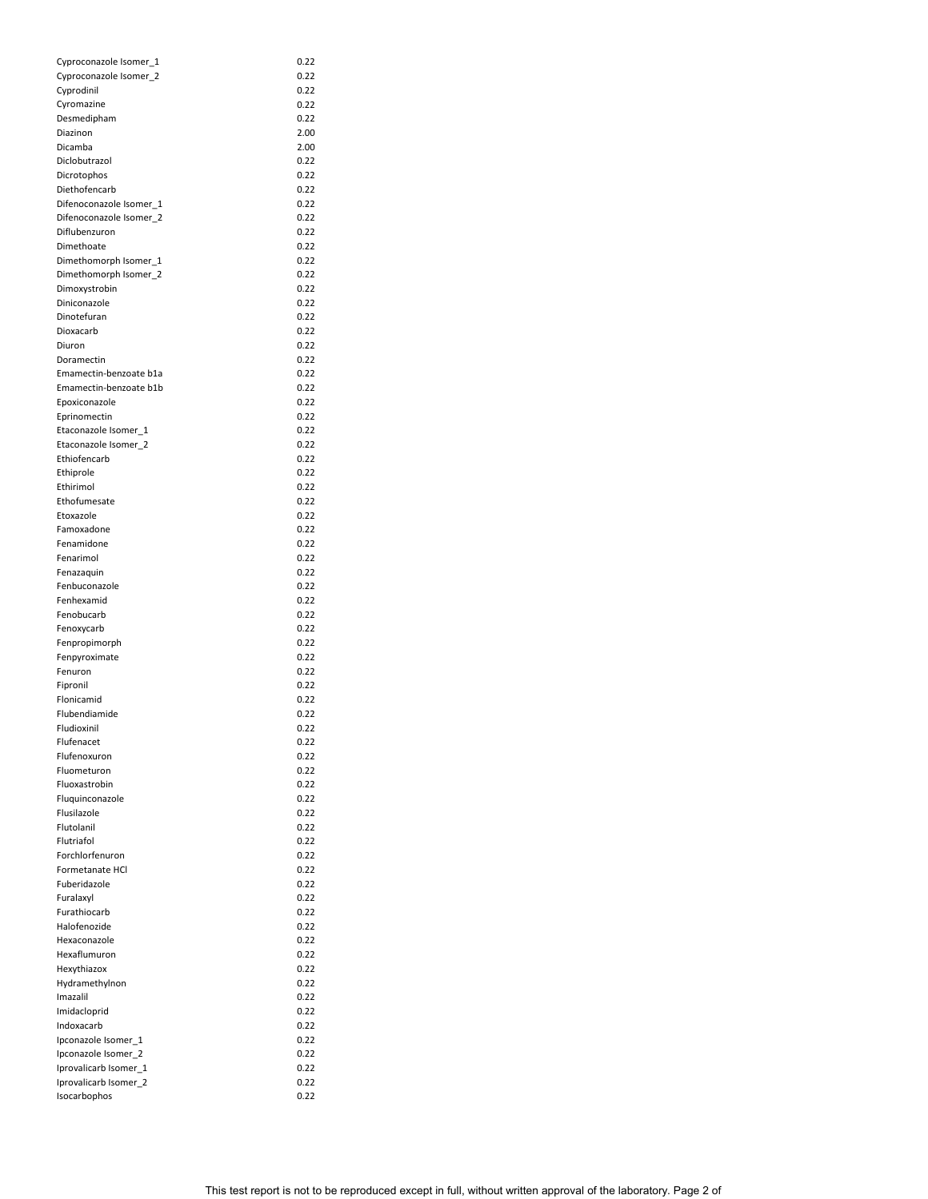| Cyproconazole Isomer_1  | 0.22 |
|-------------------------|------|
| Cyproconazole Isomer_2  | 0.22 |
| Cyprodinil              | 0.22 |
| Cyromazine              | 0.22 |
| Desmedipham             | 0.22 |
| Diazinon                | 2.00 |
| Dicamba                 | 2.00 |
| Diclobutrazol           | 0.22 |
|                         |      |
| Dicrotophos             | 0.22 |
| Diethofencarb           | 0.22 |
| Difenoconazole Isomer_1 | 0.22 |
| Difenoconazole Isomer_2 | 0.22 |
| Diflubenzuron           | 0.22 |
| Dimethoate              | 0.22 |
| Dimethomorph Isomer_1   | 0.22 |
| Dimethomorph Isomer_2   | 0.22 |
|                         |      |
| Dimoxystrobin           | 0.22 |
| Diniconazole            | 0.22 |
| Dinotefuran             | 0.22 |
| Dioxacarb               | 0.22 |
| Diuron                  | 0.22 |
| Doramectin              | 0.22 |
| Emamectin-benzoate b1a  | 0.22 |
| Emamectin-benzoate b1b  | 0.22 |
|                         |      |
| Epoxiconazole           | 0.22 |
| Eprinomectin            | 0.22 |
| Etaconazole Isomer 1    | 0.22 |
| Etaconazole Isomer_2    | 0.22 |
| Ethiofencarb            | 0.22 |
| Ethiprole               | 0.22 |
| Ethirimol               | 0.22 |
|                         |      |
| Ethofumesate            | 0.22 |
| Etoxazole               | 0.22 |
| Famoxadone              | 0.22 |
| Fenamidone              | 0.22 |
| Fenarimol               | 0.22 |
| Fenazaquin              | 0.22 |
| Fenbuconazole           | 0.22 |
| Fenhexamid              | 0.22 |
| Fenobucarb              |      |
|                         | 0.22 |
| Fenoxycarb              | 0.22 |
| Fenpropimorph           | 0.22 |
| Fenpyroximate           | 0.22 |
| Fenuron                 | 0.22 |
| Fipronil                | 0.22 |
| Flonicamid              | 0.22 |
| Flubendiamide           | 0.22 |
|                         |      |
| Fludioxinil             | 0.22 |
| Flufenacet              | 0.22 |
| Flufenoxuron            | 0.22 |
| Fluometuron             | 0.22 |
| Fluoxastrobin           | 0.22 |
| Fluquinconazole         | 0.22 |
| Flusilazole             | 0.22 |
| Flutolanil              | 0.22 |
| Flutriafol              |      |
|                         | 0.22 |
| Forchlorfenuron         | 0.22 |
| Formetanate HCl         | 0.22 |
| Fuberidazole            | 0.22 |
| Furalaxyl               | 0.22 |
| Furathiocarb            | 0.22 |
| Halofenozide            | 0.22 |
| Hexaconazole            | 0.22 |
|                         |      |
| Hexaflumuron            | 0.22 |
| Hexythiazox             | 0.22 |
| Hydramethylnon          | 0.22 |
| Imazalil                | 0.22 |
| Imidacloprid            | 0.22 |
| Indoxacarb              | 0.22 |
| Ipconazole Isomer_1     | 0.22 |
|                         |      |
| Ipconazole Isomer_2     | 0.22 |
| Iprovalicarb Isomer_1   | 0.22 |
| Iprovalicarb Isomer_2   | 0.22 |
| Isocarbophos            | 0.22 |

This test report is not to be reproduced except in full, without written approval of the laboratory. Page 2 of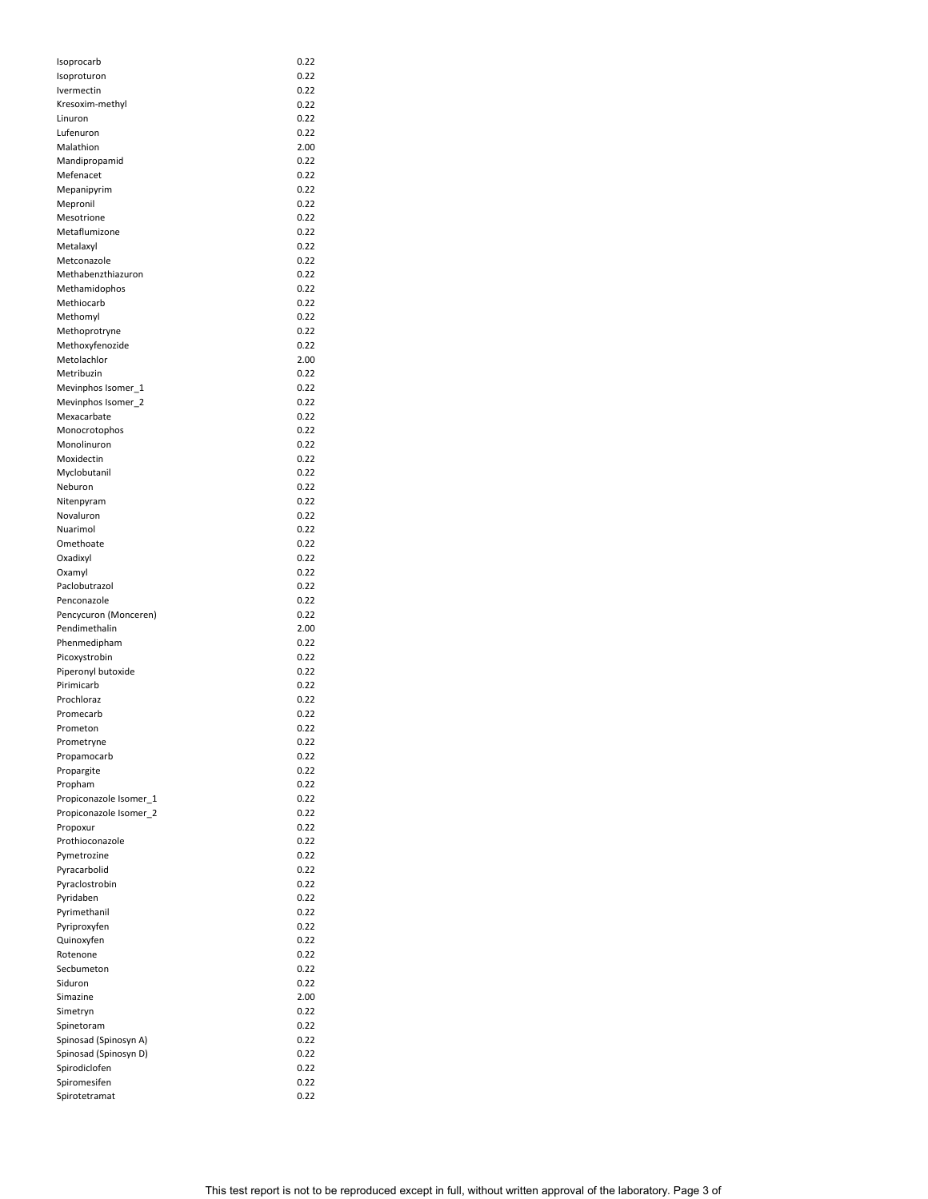| Isoprocarb             | 0.22 |
|------------------------|------|
| Isoproturon            | 0.22 |
| Ivermectin             | 0.22 |
| Kresoxim-methyl        | 0.22 |
| Linuron                | 0.22 |
| Lufenuron              | 0.22 |
| Malathion              | 2.00 |
| Mandipropamid          | 0.22 |
| Mefenacet              | 0.22 |
| Mepanipyrim            | 0.22 |
| Mepronil               | 0.22 |
| Mesotrione             |      |
|                        | 0.22 |
| Metaflumizone          | 0.22 |
| Metalaxyl              | 0.22 |
| Metconazole            | 0.22 |
| Methabenzthiazuron     | 0.22 |
| Methamidophos          | 0.22 |
| Methiocarb             | 0.22 |
| Methomyl               | 0.22 |
| Methoprotryne          | 0.22 |
| Methoxyfenozide        | 0.22 |
| Metolachlor            | 2.00 |
| Metribuzin             | 0.22 |
| Mevinphos Isomer_1     | 0.22 |
| Mevinphos Isomer_2     | 0.22 |
| Mexacarbate            | 0.22 |
|                        |      |
| Monocrotophos          | 0.22 |
| Monolinuron            | 0.22 |
| Moxidectin             | 0.22 |
| Myclobutanil           | 0.22 |
| Neburon                | 0.22 |
| Nitenpyram             | 0.22 |
| Novaluron              | 0.22 |
| Nuarimol               | 0.22 |
| Omethoate              | 0.22 |
| Oxadixyl               | 0.22 |
| Oxamyl                 | 0.22 |
| Paclobutrazol          | 0.22 |
| Penconazole            | 0.22 |
| Pencycuron (Monceren)  | 0.22 |
| Pendimethalin          | 2.00 |
| Phenmedipham           | 0.22 |
| Picoxystrobin          | 0.22 |
| Piperonyl butoxide     | 0.22 |
| Pirimicarb             | 0.22 |
| Prochloraz             |      |
|                        | 0.22 |
| Promecarb              | 0.22 |
| Prometon               | 0.22 |
| Prometryne             | 0.22 |
| Propamocarb            | 0.22 |
| Propargite             | 0.22 |
| Propham                | 0.22 |
| Propiconazole Isomer_1 | 0.22 |
| Propiconazole Isomer_2 | 0.22 |
| Propoxur               | 0.22 |
| Prothioconazole        | 0.22 |
| Pymetrozine            | 0.22 |
| Pyracarbolid           | 0.22 |
| Pyraclostrobin         | 0.22 |
| Pyridaben              | 0.22 |
| Pyrimethanil           | 0.22 |
| Pyriproxyfen           | 0.22 |
|                        | 0.22 |
| Quinoxyfen<br>Rotenone | 0.22 |
|                        |      |
| Secbumeton             | 0.22 |
| Siduron                | 0.22 |
| Simazine               | 2.00 |
| Simetryn               | 0.22 |
| Spinetoram             | 0.22 |
| Spinosad (Spinosyn A)  | 0.22 |
| Spinosad (Spinosyn D)  | 0.22 |
| Spirodiclofen          |      |
|                        | 0.22 |
| Spiromesifen           | 0.22 |

This test report is not to be reproduced except in full, without written approval of the laboratory. Page 3 of